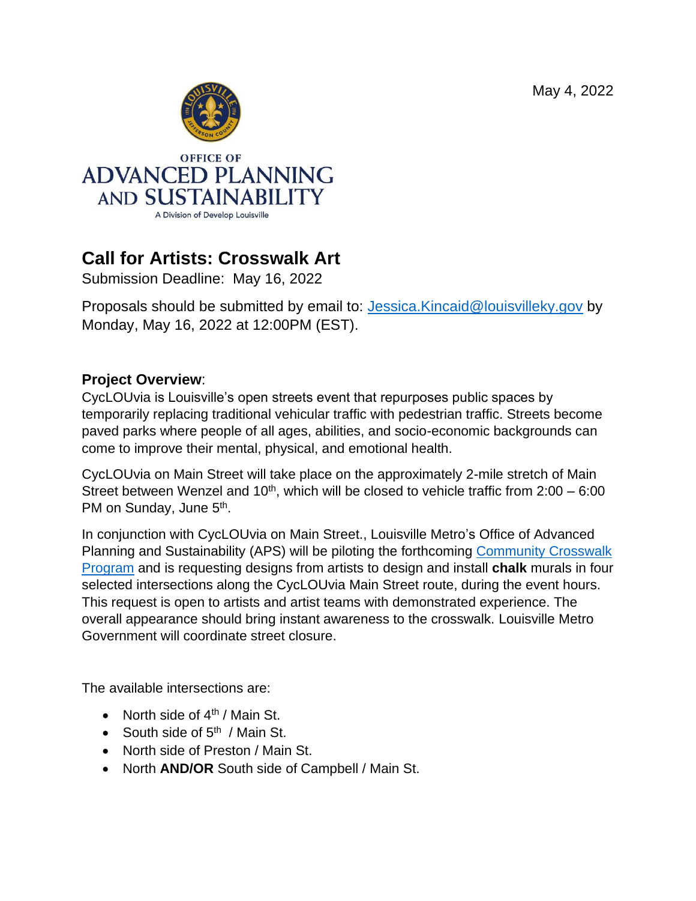May 4, 2022



# **Call for Artists: Crosswalk Art**

Submission Deadline: May 16, 2022

Proposals should be submitted by email to: [Jessica.Kincaid@louisvilleky.gov](mailto:Jessica.Kincaid@louisvilleky.gov) by Monday, May 16, 2022 at 12:00PM (EST).

#### **Project Overview**:

CycLOUvia is Louisville's open streets event that repurposes public spaces by temporarily replacing traditional vehicular traffic with pedestrian traffic. Streets become paved parks where people of all ages, abilities, and socio-economic backgrounds can come to improve their mental, physical, and emotional health.

CycLOUvia on Main Street will take place on the approximately 2-mile stretch of Main Street between Wenzel and 10<sup>th</sup>, which will be closed to vehicle traffic from  $2:00 - 6:00$ PM on Sunday, June 5<sup>th</sup>.

In conjunction with CycLOUvia on Main Street., Louisville Metro's Office of Advanced Planning and Sustainability (APS) will be piloting the forthcoming [Community Crosswalk](https://louisvilleky.gov/government/develop-louisville/community-crosswalks-program.) [Program](https://louisvilleky.gov/government/develop-louisville/community-crosswalks-program.) and is requesting designs from artists to design and install **chalk** murals in four selected intersections along the CycLOUvia Main Street route, during the event hours. This request is open to artists and artist teams with demonstrated experience. The overall appearance should bring instant awareness to the crosswalk. Louisville Metro Government will coordinate street closure.

The available intersections are:

- North side of  $4<sup>th</sup>$  / Main St.
- South side of 5<sup>th</sup> / Main St.
- North side of Preston / Main St.
- North **AND/OR** South side of Campbell / Main St.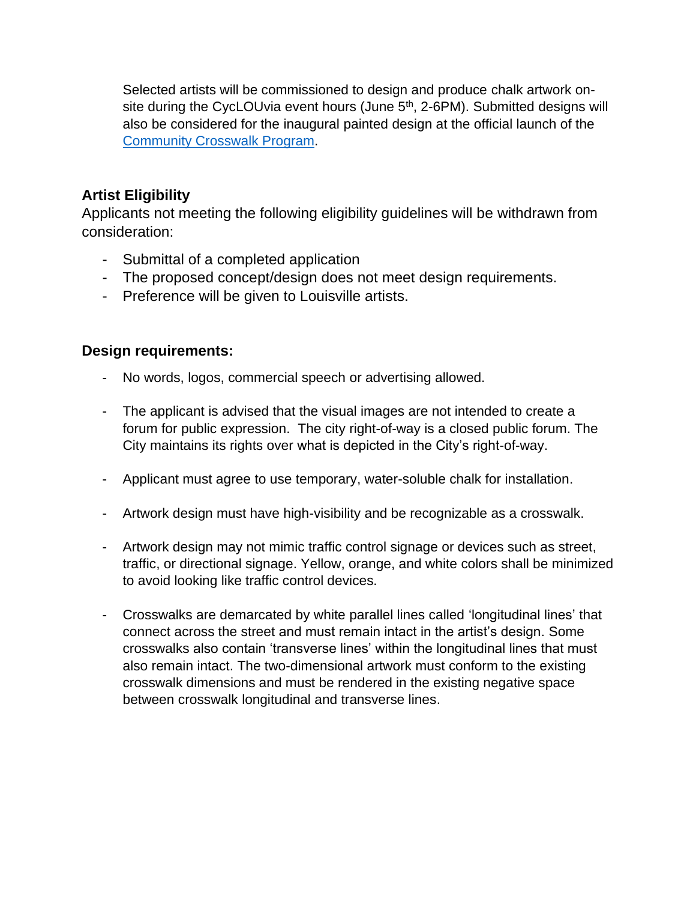Selected artists will be commissioned to design and produce chalk artwork onsite during the CycLOUvia event hours (June 5<sup>th</sup>, 2-6PM). Submitted designs will also be considered for the inaugural painted design at the official launch of the [Community Crosswalk Program.](https://louisvilleky.gov/government/develop-louisville/community-crosswalks-program.)

#### **Artist Eligibility**

Applicants not meeting the following eligibility guidelines will be withdrawn from consideration:

- Submittal of a completed application
- The proposed concept/design does not meet design requirements.
- Preference will be given to Louisville artists.

#### **Design requirements:**

- No words, logos, commercial speech or advertising allowed.
- The applicant is advised that the visual images are not intended to create a forum for public expression. The city right-of-way is a closed public forum. The City maintains its rights over what is depicted in the City's right-of-way.
- Applicant must agree to use temporary, water-soluble chalk for installation.
- Artwork design must have high-visibility and be recognizable as a crosswalk.
- Artwork design may not mimic traffic control signage or devices such as street, traffic, or directional signage. Yellow, orange, and white colors shall be minimized to avoid looking like traffic control devices.
- Crosswalks are demarcated by white parallel lines called 'longitudinal lines' that connect across the street and must remain intact in the artist's design. Some crosswalks also contain 'transverse lines' within the longitudinal lines that must also remain intact. The two-dimensional artwork must conform to the existing crosswalk dimensions and must be rendered in the existing negative space between crosswalk longitudinal and transverse lines.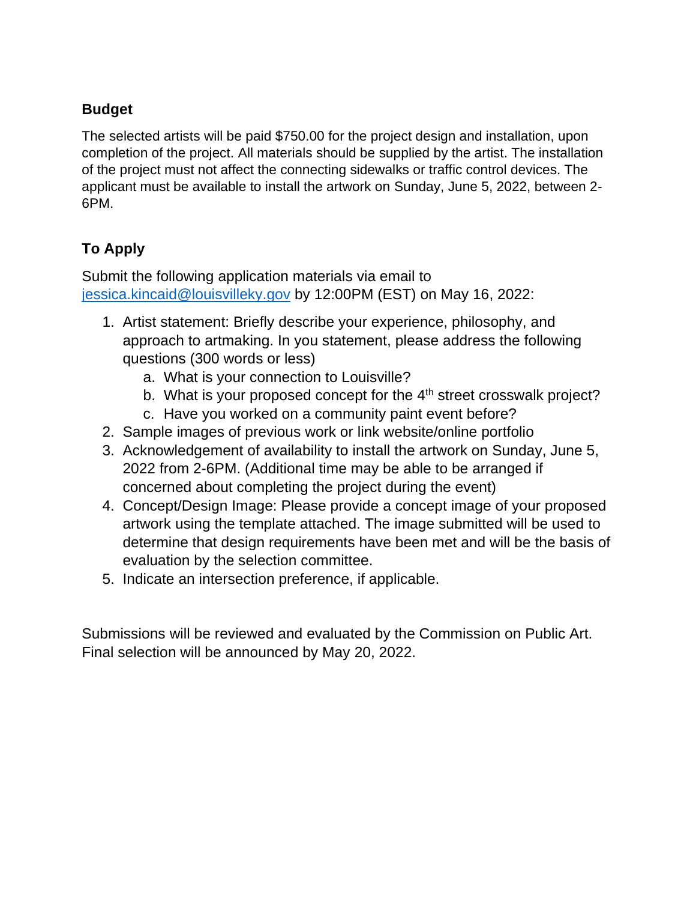#### **Budget**

The selected artists will be paid \$750.00 for the project design and installation, upon completion of the project. All materials should be supplied by the artist. The installation of the project must not affect the connecting sidewalks or traffic control devices. The applicant must be available to install the artwork on Sunday, June 5, 2022, between 2- 6PM.

### **To Apply**

Submit the following application materials via email to [jessica.kincaid@louisvilleky.gov](mailto:jessica.kincaid@louisvilleky.gov) by 12:00PM (EST) on May 16, 2022:

- 1. Artist statement: Briefly describe your experience, philosophy, and approach to artmaking. In you statement, please address the following questions (300 words or less)
	- a. What is your connection to Louisville?
	- b. What is your proposed concept for the  $4<sup>th</sup>$  street crosswalk project?
	- c. Have you worked on a community paint event before?
- 2. Sample images of previous work or link website/online portfolio
- 3. Acknowledgement of availability to install the artwork on Sunday, June 5, 2022 from 2-6PM. (Additional time may be able to be arranged if concerned about completing the project during the event)
- 4. Concept/Design Image: Please provide a concept image of your proposed artwork using the template attached. The image submitted will be used to determine that design requirements have been met and will be the basis of evaluation by the selection committee.
- 5. Indicate an intersection preference, if applicable.

Submissions will be reviewed and evaluated by the Commission on Public Art. Final selection will be announced by May 20, 2022.